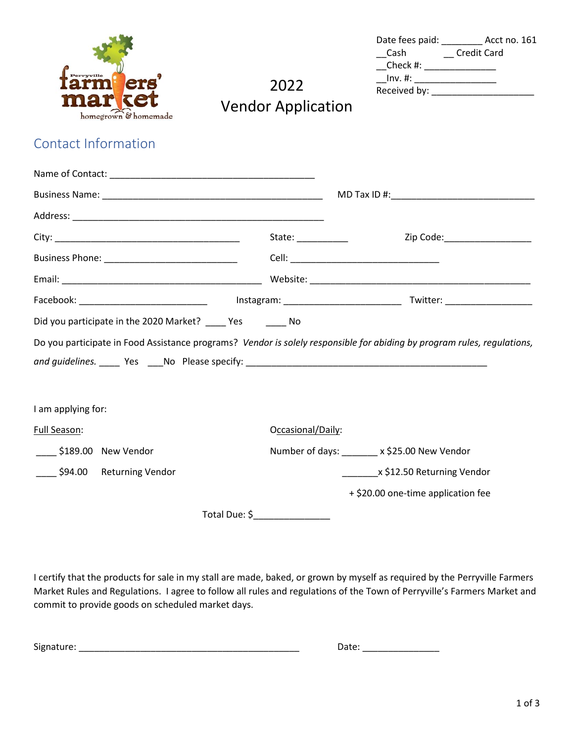

| Date fees paid: |                    | Acct no. 161 |
|-----------------|--------------------|--------------|
| Cash            | <b>Credit Card</b> |              |
| Check #:        |                    |              |
| $Inv.$ #:       |                    |              |
| Received by:    |                    |              |

2022 Vendor Application

## Contact Information

|                                                            | State: $\frac{1}{\frac{1}{2} \cdot \frac{1}{2} \cdot \frac{1}{2} \cdot \frac{1}{2} \cdot \frac{1}{2} \cdot \frac{1}{2} \cdot \frac{1}{2} \cdot \frac{1}{2} \cdot \frac{1}{2} \cdot \frac{1}{2} \cdot \frac{1}{2} \cdot \frac{1}{2} \cdot \frac{1}{2} \cdot \frac{1}{2} \cdot \frac{1}{2} \cdot \frac{1}{2} \cdot \frac{1}{2} \cdot \frac{1}{2} \cdot \frac{1}{2} \cdot \frac{1}{2} \cdot \frac{1}{2} \cdot \frac{1}{2} \cdot \frac{1}{2} \cdot \$ | Zip Code:____________________                                                                                           |
|------------------------------------------------------------|---------------------------------------------------------------------------------------------------------------------------------------------------------------------------------------------------------------------------------------------------------------------------------------------------------------------------------------------------------------------------------------------------------------------------------------------------|-------------------------------------------------------------------------------------------------------------------------|
| Business Phone: ________________________________           |                                                                                                                                                                                                                                                                                                                                                                                                                                                   |                                                                                                                         |
|                                                            |                                                                                                                                                                                                                                                                                                                                                                                                                                                   |                                                                                                                         |
|                                                            |                                                                                                                                                                                                                                                                                                                                                                                                                                                   |                                                                                                                         |
| Did you participate in the 2020 Market? ____ Yes ______ No |                                                                                                                                                                                                                                                                                                                                                                                                                                                   |                                                                                                                         |
|                                                            |                                                                                                                                                                                                                                                                                                                                                                                                                                                   | Do you participate in Food Assistance programs? Vendor is solely responsible for abiding by program rules, regulations, |
| I am applying for:                                         |                                                                                                                                                                                                                                                                                                                                                                                                                                                   |                                                                                                                         |
| Full Season:                                               | Occasional/Daily:                                                                                                                                                                                                                                                                                                                                                                                                                                 |                                                                                                                         |
| $\frac{1}{2}$ \$189.00 New Vendor                          |                                                                                                                                                                                                                                                                                                                                                                                                                                                   | Number of days: _______ x \$25.00 New Vendor                                                                            |
| _____ \$94.00 Returning Vendor                             |                                                                                                                                                                                                                                                                                                                                                                                                                                                   | ____________x \$12.50 Returning Vendor                                                                                  |
|                                                            |                                                                                                                                                                                                                                                                                                                                                                                                                                                   | + \$20.00 one-time application fee                                                                                      |
|                                                            | Total Due: \$                                                                                                                                                                                                                                                                                                                                                                                                                                     |                                                                                                                         |

I certify that the products for sale in my stall are made, baked, or grown by myself as required by the Perryville Farmers Market Rules and Regulations. I agree to follow all rules and regulations of the Town of Perryville's Farmers Market and commit to provide goods on scheduled market days.

| <b></b><br>Signature: | . $1 - 1 - 1$ |
|-----------------------|---------------|
|                       |               |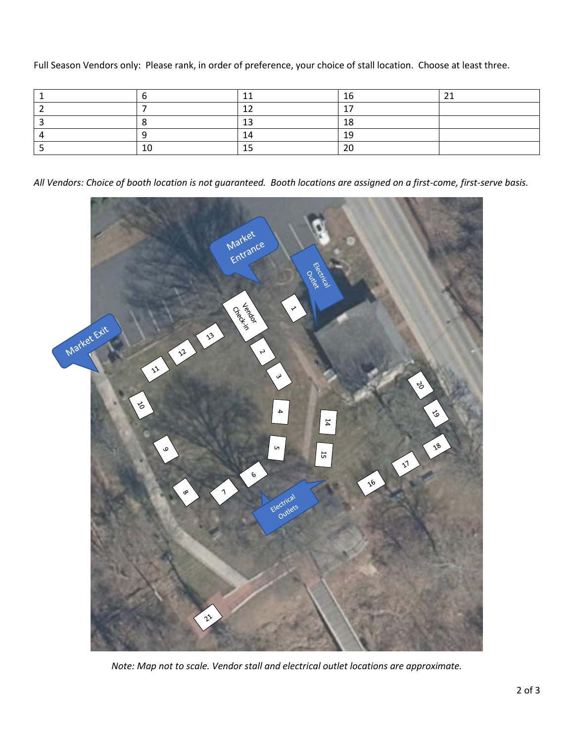Full Season Vendors only: Please rank, in order of preference, your choice of stall location. Choose at least three.

|  |    | -                        |  |
|--|----|--------------------------|--|
|  |    | $\overline{\phantom{a}}$ |  |
|  | -- |                          |  |
|  |    |                          |  |
|  |    | ~~                       |  |

*All Vendors: Choice of booth location is not guaranteed. Booth locations are assigned on a first-come, first-serve basis.*



*Note: Map not to scale. Vendor stall and electrical outlet locations are approximate.*